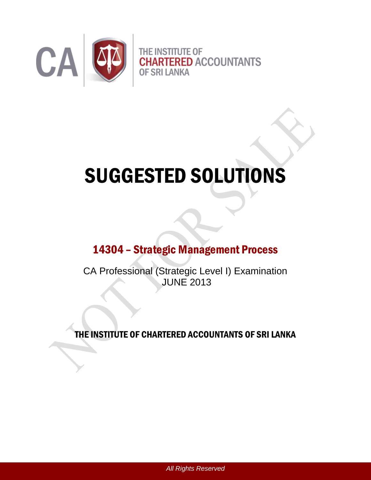

# SUGGESTED SOLUTIONS

# 14304 – Strategic Management Process

CA Professional (Strategic Level I) Examination JUNE 2013

THE INSTITUTE OF CHARTERED ACCOUNTANTS OF SRI LANKA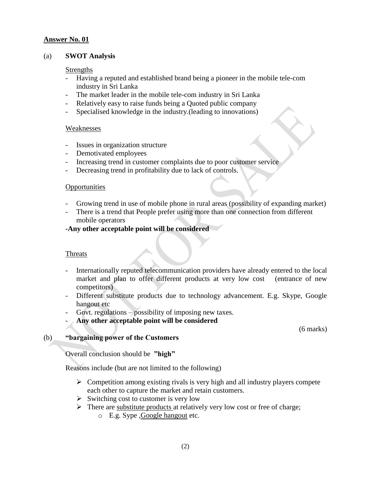#### (a) **SWOT Analysis**

#### Strengths

- Having a reputed and established brand being a pioneer in the mobile tele-com industry in Sri Lanka
- The market leader in the mobile tele-com industry in Sri Lanka
- Relatively easy to raise funds being a Quoted public company
- Specialised knowledge in the industry.(leading to innovations)

#### Weaknesses

- Issues in organization structure
- Demotivated employees
- Increasing trend in customer complaints due to poor customer service
- Decreasing trend in profitability due to lack of controls.

#### **Opportunities**

- Growing trend in use of mobile phone in rural areas (possibility of expanding market)
- There is a trend that People prefer using more than one connection from different mobile operators

# **-Any other acceptable point will be considered**

# **Threats**

- Internationally reputed telecommunication providers have already entered to the local market and plan to offer different products at very low cost (entrance of new competitors)
- Different substitute products due to technology advancement. E.g. Skype, Google hangout etc
- Govt. regulations possibility of imposing new taxes.
- **Any other acceptable point will be considered**

(6 marks)

# (b) **"bargaining power of the Customers**

Overall conclusion should be **"high"**

Reasons include (but are not limited to the following)

- $\triangleright$  Competition among existing rivals is very high and all industry players compete each other to capture the market and retain customers.
- $\triangleright$  Switching cost to customer is very low
- $\triangleright$  There are substitute products at relatively very low cost or free of charge;
	- o E.g. Sype ,Google hangout etc.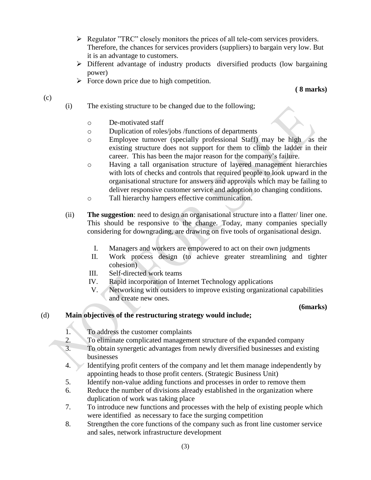- $\triangleright$  Regulator "TRC" closely monitors the prices of all tele-com services providers. Therefore, the chances for services providers (suppliers) to bargain very low. But it is an advantage to customers.
- Different advantage of industry products diversified products (low bargaining power)
- $\triangleright$  Force down price due to high competition.

**( 8 marks)**

- (i) The existing structure to be changed due to the following;
	- o De-motivated staff

(c)

- o Duplication of roles/jobs /functions of departments
- o Employee turnover (specially professional Staff) may be high as the existing structure does not support for them to climb the ladder in their career. This has been the major reason for the company's failure.
- o Having a tall organisation structure of layered management hierarchies with lots of checks and controls that required people to look upward in the organisational structure for answers and approvals which may be failing to deliver responsive customer service and adoption to changing conditions.
- o Tall hierarchy hampers effective communication.
- (ii) **The suggestion**: need to design an organisational structure into a flatter/ liner one. This should be responsive to the change. Today, many companies specially considering for downgrading, are drawing on five tools of organisational design.
	- I. Managers and workers are empowered to act on their own judgments
	- II. Work process design (to achieve greater streamlining and tighter cohesion)
	- III. Self-directed work teams
	- IV. Rapid incorporation of Internet Technology applications
	- V. Networking with outsiders to improve existing organizational capabilities and create new ones.

# **(6marks)**

# (d) **Main objectives of the restructuring strategy would include;**

- 1. To address the customer complaints
- 2. To eliminate complicated management structure of the expanded company
- 3. To obtain synergetic advantages from newly diversified businesses and existing businesses
- 4. Identifying profit centers of the company and let them manage independently by appointing heads to those profit centers. (Strategic Business Unit)
- 5. Identify non-value adding functions and processes in order to remove them
- 6. Reduce the number of divisions already established in the organization where duplication of work was taking place
- 7. To introduce new functions and processes with the help of existing people which were identified as necessary to face the surging competition
- 8. Strengthen the core functions of the company such as front line customer service and sales, network infrastructure development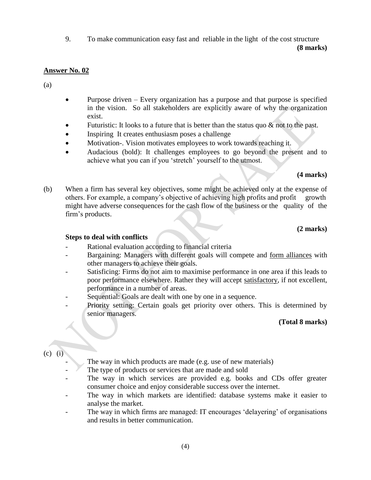9. To make communication easy fast and reliable in the light of the cost structure **(8 marks)**

# **Answer No. 02**

(a)

- Purpose driven Every organization has a purpose and that purpose is specified in the vision. So all stakeholders are explicitly aware of why the organization exist.
- Futuristic: It looks to a future that is better than the status quo  $\&$  not to the past.
- Inspiring It creates enthusiasm poses a challenge
- Motivation-. Vision motivates employees to work towards reaching it.
- Audacious (bold): It challenges employees to go beyond the present and to achieve what you can if you 'stretch' yourself to the utmost.

**(4 marks)**

(b) When a firm has several key objectives, some might be achieved only at the expense of others. For example, a company's objective of achieving high profits and profit growth might have adverse consequences for the cash flow of the business or the quality of the firm's products.

# **(2 marks)**

# **Steps to deal with conflicts**

- Rational evaluation according to financial criteria
- Bargaining: Managers with different goals will compete and form alliances with other managers to achieve their goals.
- Satisficing: Firms do not aim to maximise performance in one area if this leads to poor performance elsewhere. Rather they will accept satisfactory, if not excellent, performance in a number of areas.
- Sequential: Goals are dealt with one by one in a sequence.
- Priority setting: Certain goals get priority over others. This is determined by senior managers.

# **(Total 8 marks)**

(c) (i)

- The way in which products are made (e.g. use of new materials)
- The type of products or services that are made and sold
- The way in which services are provided e.g. books and CDs offer greater consumer choice and enjoy considerable success over the internet.
- The way in which markets are identified: database systems make it easier to analyse the market.
- The way in which firms are managed: IT encourages 'delayering' of organisations and results in better communication.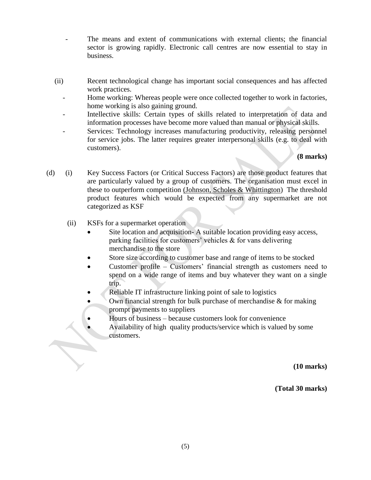- The means and extent of communications with external clients; the financial sector is growing rapidly. Electronic call centres are now essential to stay in business.
- (ii) Recent technological change has important social consequences and has affected work practices.
	- Home working: Whereas people were once collected together to work in factories, home working is also gaining ground.
	- Intellective skills: Certain types of skills related to interpretation of data and information processes have become more valued than manual or physical skills.
	- Services: Technology increases manufacturing productivity, releasing personnel for service jobs. The latter requires greater interpersonal skills (e.g. to deal with customers).

**(8 marks)** 

- (d) (i) Key Success Factors (or Critical Success Factors) are those product features that are particularly valued by a group of customers. The organisation must excel in these to outperform competition (Johnson, Scholes & Whittington) The threshold product features which would be expected from any supermarket are not categorized as KSF
	- (ii) KSFs for a supermarket operation
		- Site location and acquisition- A suitable location providing easy access, parking facilities for customers' vehicles & for vans delivering merchandise to the store
		- Store size according to customer base and range of items to be stocked
		- Customer profile Customers' financial strength as customers need to spend on a wide range of items and buy whatever they want on a single trip.
		- Reliable IT infrastructure linking point of sale to logistics
		- Own financial strength for bulk purchase of merchandise  $\&$  for making prompt payments to suppliers
		- Hours of business because customers look for convenience
		- Availability of high quality products/service which is valued by some customers.

**(10 marks)**

**(Total 30 marks)**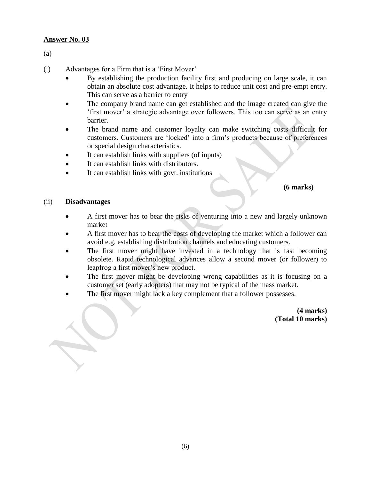(a)

- (i) Advantages for a Firm that is a 'First Mover'
	- By establishing the production facility first and producing on large scale, it can obtain an absolute cost advantage. It helps to reduce unit cost and pre-empt entry. This can serve as a barrier to entry
	- The company brand name can get established and the image created can give the 'first mover' a strategic advantage over followers. This too can serve as an entry barrier.
	- The brand name and customer loyalty can make switching costs difficult for customers. Customers are 'locked' into a firm's products because of preferences or special design characteristics.
	- It can establish links with suppliers (of inputs)
	- It can establish links with distributors.
	- It can establish links with govt. institutions

#### **(6 marks)**

#### (ii) **Disadvantages**

- A first mover has to bear the risks of venturing into a new and largely unknown market
- A first mover has to bear the costs of developing the market which a follower can avoid e.g. establishing distribution channels and educating customers.
- The first mover might have invested in a technology that is fast becoming obsolete. Rapid technological advances allow a second mover (or follower) to leapfrog a first mover's new product.
- The first mover might be developing wrong capabilities as it is focusing on a customer set (early adopters) that may not be typical of the mass market.
- The first mover might lack a key complement that a follower possesses.

**(4 marks) (Total 10 marks)**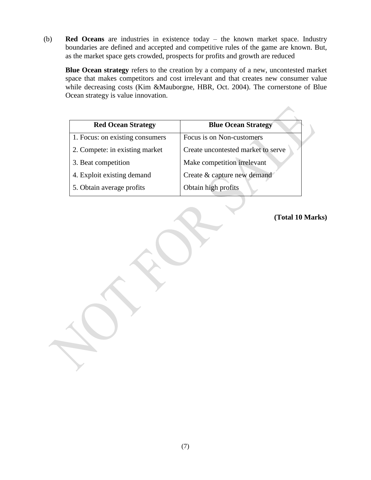(b) **Red Oceans** are industries in existence today – the known market space. Industry boundaries are defined and accepted and competitive rules of the game are known. But, as the market space gets crowded, prospects for profits and growth are reduced

**Blue Ocean strategy** refers to the creation by a company of a new, uncontested market space that makes competitors and cost irrelevant and that creates new consumer value while decreasing costs (Kim &Mauborgne, HBR, Oct. 2004). The cornerstone of Blue Ocean strategy is value innovation.

| <b>Red Ocean Strategy</b>       | <b>Blue Ocean Strategy</b>         |
|---------------------------------|------------------------------------|
| 1. Focus: on existing consumers | Focus is on Non-customers          |
| 2. Compete: in existing market  | Create uncontested market to serve |
| 3. Beat competition             | Make competition irrelevant        |
| 4. Exploit existing demand      | Create & capture new demand        |
| 5. Obtain average profits       | Obtain high profits                |
|                                 |                                    |

**(Total 10 Marks)**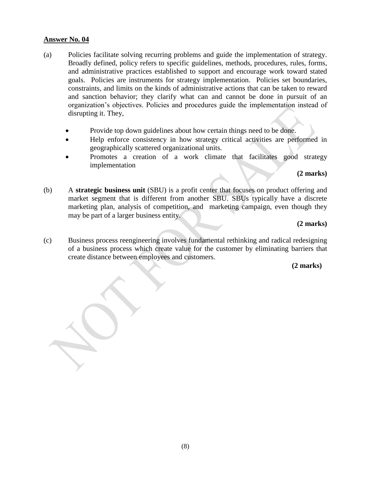- (a) Policies facilitate solving recurring problems and guide the implementation of strategy. Broadly defined, policy refers to specific guidelines, methods, procedures, rules, forms, and administrative practices established to support and encourage work toward stated goals. Policies are instruments for strategy implementation. Policies set boundaries, constraints, and limits on the kinds of administrative actions that can be taken to reward and sanction behavior; they clarify what can and cannot be done in pursuit of an organization's objectives. Policies and procedures guide the implementation instead of disrupting it. They,
	- Provide top down guidelines about how certain things need to be done.
	- Help enforce consistency in how strategy critical activities are performed in geographically scattered organizational units.
	- Promotes a creation of a work climate that facilitates good strategy implementation

# **(2 marks)**

(b) A **strategic business unit** (SBU) is a profit center that focuses on product offering and market segment that is different from another SBU. SBUs typically have a discrete marketing plan, analysis of competition, and marketing campaign, even though they may be part of a larger business entity.

# **(2 marks)**

(c) Business process reengineering involves fundamental rethinking and radical redesigning of a business process which create value for the customer by eliminating barriers that create distance between employees and customers.

#### **(2 marks)**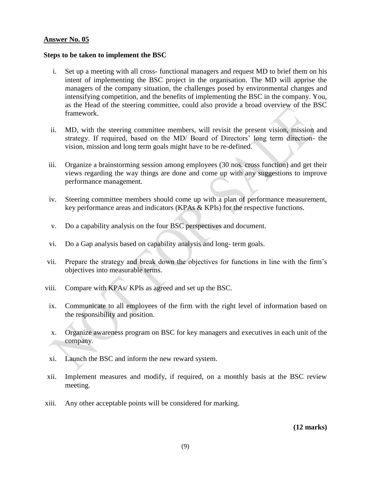#### **Steps to be taken to implement the BSC**

- i. Set up a meeting with all cross- functional managers and request MD to brief them on his intent of implementing the BSC project in the organisation. The MD will apprise the managers of the company situation, the challenges posed by environmental changes and intensifying competition, and the benefits of implementing the BSC in the company. You, as the Head of the steering committee, could also provide a broad overview of the BSC framework.
- ii. MD, with the steering committee members, will revisit the present vision, mission and strategy. If required, based on the MD/ Board of Directors' long term direction- the vision, mission and long term goals might have to be re-defined.
- iii. Organize a brainstorming session among employees (30 nos. cross function) and get their views regarding the way things are done and come up with any suggestions to improve performance management.
- iv. Steering committee members should come up with a plan of performance measurement, key performance areas and indicators (KPAs & KPIs) for the respective functions.
- v. Do a capability analysis on the four BSC perspectives and document.
- vi. Do a Gap analysis based on capability analysis and long- term goals.
- vii. Prepare the strategy and break down the objectives for functions in line with the firm's objectives into measurable terms.
- viii. Compare with KPAs/ KPIs as agreed and set up the BSC.
- ix. Communicate to all employees of the firm with the right level of information based on the responsibility and position.
- x. Organize awareness program on BSC for key managers and executives in each unit of the company.
- xi. Launch the BSC and inform the new reward system.
- xii. Implement measures and modify, if required, on a monthly basis at the BSC review meeting.
- xiii. Any other acceptable points will be considered for marking.